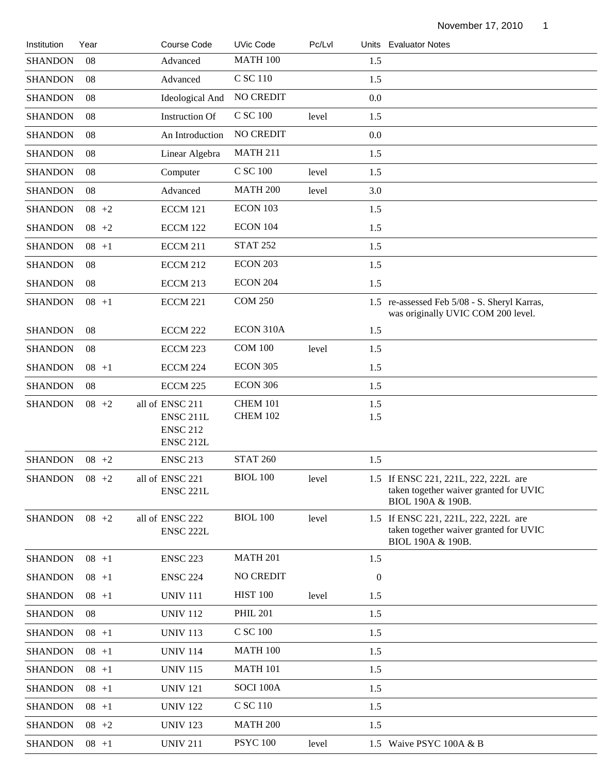November 17, 2010 1

| Institution    | Year     | Course Code                                                                        | <b>UVic Code</b>            | Pc/Lvl |                  | Units Evaluator Notes                                                                               |
|----------------|----------|------------------------------------------------------------------------------------|-----------------------------|--------|------------------|-----------------------------------------------------------------------------------------------------|
| <b>SHANDON</b> | 08       | Advanced                                                                           | <b>MATH 100</b>             |        | 1.5              |                                                                                                     |
| <b>SHANDON</b> | 08       | Advanced                                                                           | C SC 110                    |        | 1.5              |                                                                                                     |
| <b>SHANDON</b> | 08       | Ideological And                                                                    | <b>NO CREDIT</b>            |        | 0.0              |                                                                                                     |
| <b>SHANDON</b> | 08       | <b>Instruction Of</b>                                                              | C SC 100                    | level  | 1.5              |                                                                                                     |
| <b>SHANDON</b> | 08       | An Introduction                                                                    | NO CREDIT                   |        | 0.0              |                                                                                                     |
| <b>SHANDON</b> | 08       | Linear Algebra                                                                     | <b>MATH 211</b>             |        | 1.5              |                                                                                                     |
| <b>SHANDON</b> | 08       | Computer                                                                           | C SC 100                    | level  | 1.5              |                                                                                                     |
| <b>SHANDON</b> | 08       | Advanced                                                                           | <b>MATH 200</b>             | level  | 3.0              |                                                                                                     |
| <b>SHANDON</b> | $08 + 2$ | <b>ECCM 121</b>                                                                    | ECON 103                    |        | 1.5              |                                                                                                     |
| <b>SHANDON</b> | $08 + 2$ | <b>ECCM 122</b>                                                                    | ECON 104                    |        | 1.5              |                                                                                                     |
| <b>SHANDON</b> | $08 + 1$ | <b>ECCM 211</b>                                                                    | <b>STAT 252</b>             |        | 1.5              |                                                                                                     |
| <b>SHANDON</b> | 08       | <b>ECCM 212</b>                                                                    | <b>ECON 203</b>             |        | 1.5              |                                                                                                     |
| <b>SHANDON</b> | 08       | ECCM 213                                                                           | <b>ECON 204</b>             |        | 1.5              |                                                                                                     |
| <b>SHANDON</b> | $08 + 1$ | <b>ECCM 221</b>                                                                    | <b>COM 250</b>              |        |                  | 1.5 re-assessed Feb 5/08 - S. Sheryl Karras,<br>was originally UVIC COM 200 level.                  |
| <b>SHANDON</b> | 08       | <b>ECCM 222</b>                                                                    | ECON 310A                   |        | 1.5              |                                                                                                     |
| <b>SHANDON</b> | 08       | ECCM 223                                                                           | <b>COM 100</b>              | level  | 1.5              |                                                                                                     |
| <b>SHANDON</b> | $08 + 1$ | ECCM 224                                                                           | <b>ECON 305</b>             |        | 1.5              |                                                                                                     |
| <b>SHANDON</b> | 08       | ECCM 225                                                                           | <b>ECON 306</b>             |        | 1.5              |                                                                                                     |
| <b>SHANDON</b> | $08 + 2$ | all of ENSC 211<br>ENSC <sub>211L</sub><br><b>ENSC 212</b><br>ENSC <sub>212L</sub> | <b>CHEM 101</b><br>CHEM 102 |        | 1.5<br>1.5       |                                                                                                     |
| <b>SHANDON</b> | $08 + 2$ | <b>ENSC 213</b>                                                                    | <b>STAT 260</b>             |        | 1.5              |                                                                                                     |
| <b>SHANDON</b> | $08 + 2$ | all of ENSC 221<br><b>ENSC 221L</b>                                                | <b>BIOL 100</b>             | level  |                  | 1.5 If ENSC 221, 221L, 222, 222L are<br>taken together waiver granted for UVIC<br>BIOL 190A & 190B. |
| <b>SHANDON</b> | $08 + 2$ | all of ENSC 222<br>ENSC 222L                                                       | <b>BIOL 100</b>             | level  |                  | 1.5 If ENSC 221, 221L, 222, 222L are<br>taken together waiver granted for UVIC<br>BIOL 190A & 190B. |
| <b>SHANDON</b> | $08 + 1$ | <b>ENSC 223</b>                                                                    | <b>MATH 201</b>             |        | 1.5              |                                                                                                     |
| <b>SHANDON</b> | $08 + 1$ | <b>ENSC 224</b>                                                                    | NO CREDIT                   |        | $\boldsymbol{0}$ |                                                                                                     |
| <b>SHANDON</b> | $08 + 1$ | <b>UNIV 111</b>                                                                    | <b>HIST 100</b>             | level  | 1.5              |                                                                                                     |
| <b>SHANDON</b> | 08       | <b>UNIV 112</b>                                                                    | <b>PHIL 201</b>             |        | 1.5              |                                                                                                     |
| <b>SHANDON</b> | $08 + 1$ | <b>UNIV 113</b>                                                                    | C SC 100                    |        | 1.5              |                                                                                                     |
| <b>SHANDON</b> | $08 + 1$ | <b>UNIV 114</b>                                                                    | <b>MATH 100</b>             |        | 1.5              |                                                                                                     |
| <b>SHANDON</b> | $08 + 1$ | <b>UNIV 115</b>                                                                    | <b>MATH 101</b>             |        | 1.5              |                                                                                                     |
| <b>SHANDON</b> | $08 + 1$ | <b>UNIV 121</b>                                                                    | SOCI 100A                   |        | 1.5              |                                                                                                     |
| <b>SHANDON</b> | $08 + 1$ | <b>UNIV 122</b>                                                                    | C SC 110                    |        | 1.5              |                                                                                                     |
| <b>SHANDON</b> | $08 + 2$ | <b>UNIV 123</b>                                                                    | <b>MATH 200</b>             |        | 1.5              |                                                                                                     |
| <b>SHANDON</b> | $08 + 1$ | <b>UNIV 211</b>                                                                    | <b>PSYC 100</b>             | level  |                  | 1.5 Waive PSYC 100A & B                                                                             |
|                |          |                                                                                    |                             |        |                  |                                                                                                     |